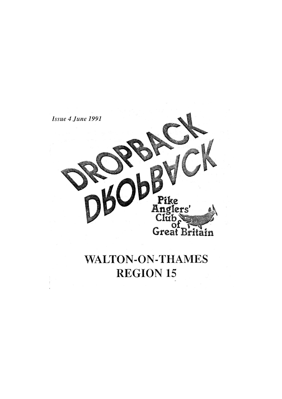

# **WALTON-ON-THAMES REGION 15**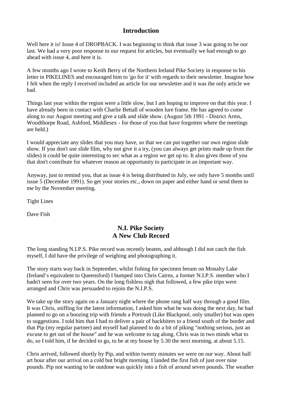### **Introduction**

Well here it is! Issue 4 of DROPBACK. I was beginning to think that issue 3 was going to be our last. We had a very poor response to our request for articles, but eventually we had enough to go ahead with issue 4, and here it is.

A few months ago I wrote to Keith Berry of the Northern Ireland Pike Society in response to his letter in PIKELINES and encouraged him to 'go for it' with regards to their newsletter. Imagine how I felt when the reply I received included an article for our newsletter and it was the only article we had.

Things last year within the region were a little slow, but I am hoping to improve on that this year. I have already been in contact with Charlie Bettall of wooden lure frame. He has agreed to come along to our August meeting and give a talk and slide show. (August 5th 1991 - District Arms, Woodthorpe Road, Ashford, Middlesex - for those of you that have forgotten where the meetings are held.)

I would appreciate any slides that you may have, so that we can put together our own region slide show. If you don't use slide film, why not give it a try, (you can always get prints made up from the slides) it could be quite interesting to sec what as a region we get up to. It also gives those of you that don't contribute for whatever reason an opportunity to participate in an important way.

Anyway, just to remind you, that as issue 4 is being distributed in July, we only have 5 months until issue 5 (December 1991). So get your stories etc., down on paper and either hand or send them to me by the November meeting.

Tight Lines

Dave Fish

## **N.I. Pike Society A New Club Record**

The long standing N.I.P.S. Pike record was recently beaten, and although I did not catch the fish myself, I did have the privilege of weighing and photographing it.

The story starts way back in September, whilst fishing for specimen bream on Monalty Lake (Ireland's equivalent to Queensford) I bumped into Chris Cairns, a former N.I.P.S. member who I hadn't seen for over two years. On the long fishless nigh that followed, a few pike trips were arranged and Chris was persuaded to rejoin the N.I.P.S.

We take up the story again on a January night where the phone rang half way through a good film. It was Chris, sniffing for the latest information, I asked him what he was doing the next day, he had planned to go on a boozing trip with friends a Portrush (Like Blackpool, only smaller) but was open to suggestions. I told him that I had to deliver a pair of backbiters to a friend south of the border and that Pip (my regular partner) and myself had planned to do a bit of piking "nothing serious, just an excuse to get out of the house" and he was welcome to tag along. Chris was in two minds what to do, so I told him, if he decided to go, to be at my house by 5.30 the next morning, at about 5.15.

Chris arrived, followed shortly by Pip, and within twenty minutes we were on our way. About half art hour after our arrival on a cold but bright morning. I landed the first fish of just over nine pounds. Pip not wanting to be outdone was quickly into a fish of around seven pounds. The weather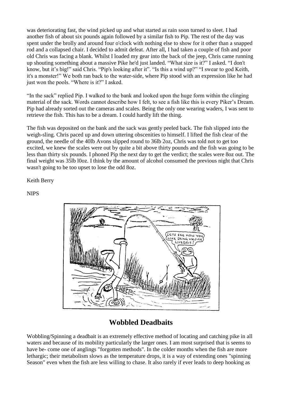was deteriorating fast, the wind picked up and what started as rain soon turned to sleet. I had another fish of about six pounds again followed by a similar fish to Pip. The rest of the day was spent under the brolly and around four o'clock with nothing else to show for it other than a snapped rod and a collapsed chair. I decided to admit defeat. After all, I had taken a couple of fish and poor old Chris was facing a blank. Whilst I loaded my gear into the back of the jeep, Chris came running up shouting something about a massive Pike he'd just landed. "What size is it?" I asked. "I don't know, but it's big!" said Chris. "Pip's looking after it". "Is this a wind up?" "I swear to god Keith, it's a monster!" We both ran back to the water-side, where Pip stood with an expression like he had just won the pools. "Where is it?" I asked.

"In the sack" replied Pip. I walked to the bank and looked upon the huge form within the clinging material of the sack. Words cannot describe how I felt, to see a fish like this is every Piker's Dream. Pip had already sorted out the cameras and scales. Being the only one wearing waders, I was sent to retrieve the fish. This has to be a dream. I could hardly lift the thing.

The fish was deposited on the bank and the sack was gently peeled back. The fish slipped into the weigh-sling. Chris paced up and down uttering obscenities to himself. I lifted the fish clear of the ground, the needle of the 40lb Avons slipped round to 36lb 2oz, Chris was told not to get too excited, we knew the scales were out by quite a bit above thirty pounds and the fish was going to be less than thirty six pounds. I phoned Pip the next day to get the verdict; the scales were 8oz out. The final weight was 35lb l0oz. I think by the amount of alcohol consumed the previous night that Chris wasn't going to be too upset to lose the odd 8oz.

#### Keith Berry

#### NIPS



# **Wobbled Deadbaits**

Wobbling/Spinning a deadbait is an extremely effective method of locating and catching pike in all waters and because of its mobility particularly the larger ones. I am most surprised that is seems to have be- come one of anglings "forgotten methods". In the colder months when the fish are more lethargic; their metabolism slows as the temperature drops, it is a way of extending ones "spinning Season" even when the fish are less willing to chase. It also rarely if ever leads to deep hooking as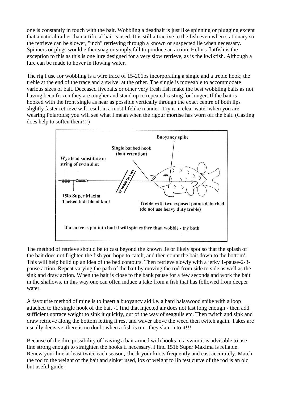one is constantly in touch with the bait. Wobbling a deadbait is just like spinning or plugging except that a natural rather than artificial bait is used. It is still attractive to the fish even when stationary so the retrieve can be slower, "inch" retrieving through a known or suspected lie when necessary. Spinners or plugs would either snag or simply fall to produce an action. Helin's flatfish is the exception to this as this is one lure designed for a very slow retrieve, as is the kwikfish. Although a lure can be made to hover in flowing water.

The rig I use for wobbling is a wire trace of 15-201bs incorporating a single and a treble hook; the treble at the end of the trace and a swivel at the other. The single is moveable to accommodate various sizes of bait. Deceased livebaits or other very fresh fish make the best wobbling baits as not having been frozen they are tougher and stand up to repeated casting for longer. If the bait is hooked with the front single as near as possible vertically through the exact centre of both lips slightly faster retrieve will result in a most lifelike manner. Try it in clear water when you are wearing Polaroids; you will see what I mean when the rigour mortise has worn off the bait. (Casting does help to soften them!!!)



The method of retrieve should be to cast beyond the known lie or likely spot so that the splash of the bait does not frighten the fish you hope to catch, and then count the bait down to the bottom'. This will help build up an idea of the bed contours. Then retrieve slowly with a jerky 1-pause-2-3 pause action. Repeat varying the path of the bait by moving the rod from side to side as well as the sink and draw action. When the bait is close to the bank pause for a few seconds and work the bait in the shallows, in this way one can often induce a take from a fish that has followed from deeper water.

A favourite method of mine is to insert a buoyancy aid i.e. a hard balsawood spike with a loop attached to the single hook of the bait -1 find that injected air does not last long enough - then add sufficient uptrace weight to sink it quickly, out of the way of seagulls etc. Then twitch and sink and draw retrieve along the bottom letting it rest and waver above the weed then twitch again. Takes are usually decisive, there is no doubt when a fish is on - they slam into it!!!

Because of the dire possibility of leaving a bait armed with hooks in a swim it is advisable to use line strong enough to straighten the hooks if necessary. I find 151b Super Maxima is reliable. Renew your line at least twice each season, check your knots frequently and cast accurately. Match the rod to the weight of the bait and sinker used, loz of weight to lib test curve of the rod is an old but useful guide.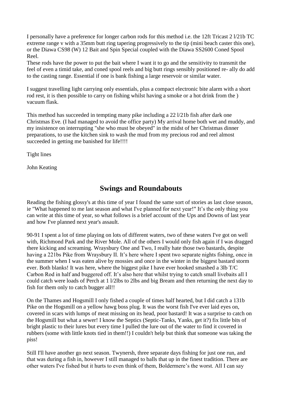I personally have a preference for longer carbon rods for this method i.e. the 12ft Tricast 2 l/21b TC extreme range v with a 35mm butt ring tapering progressively to the tip (mini beach caster this one), or the Diawa CS98 (W) 12 Bait and Spin Special coupled with the Diawa SS2600 Coned Spool Reel.

These rods have the power to put the bait where I want it to go and the sensitivity to transmit the feel of even a timid take, and coned spool reels and big butt rings sensibly positioned re- ally do add to the casting range. Essential if one is bank fishing a large reservoir or similar water.

I suggest travelling light carrying only essentials, plus a compact electronic bite alarm with a short rod rest, it is then possible to carry on fishing whilst having a smoke or a hot drink from the ) vacuum flask.

This method has succeeded in tempting many pike including a 22 l/21b fish after dark one Christmas Eve. (I had managed to avoid the office party) My arrival home both wet and muddy, and my insistence on interrupting "she who must be obeyed" in the midst of her Christmas dinner preparations, to use the kitchen sink to wash the mud from my precious rod and reel almost succeeded in getting me banished for life!!!!

Tight lines

John Keating

## **Swings and Roundabouts**

Reading the fishing glossy's at this time of year I found the same sort of stories as last close season, ie "What happened to me last season and what I've planned for next year!" It's the only thing you can write at this time of year, so what follows is a brief account of the Ups and Downs of last year and how I've planned next year's assault.

90-91 I spent a lot of time playing on lots of different waters, two of these waters I've got on well with, Richmond Park and the River Mole. All of the others I would only fish again if I was dragged there kicking and screaming. Wraysbury One and Two, I really hate those two bastards, despite having a 221bs Pike from Wraysbury II. It's here where I spent two separate nights fishing, once in the summer when I was eaten alive by mossies and once in the winter in the biggest bastard storm ever. Both blanks! It was here, where the biggest pike I have ever hooked smashed a 3lb T/C Carbon Rod in half and buggered off. It's also here that whilst trying to catch small livebaits all I could catch were loads of Perch at 1 l/2lbs to 2lbs and big Bream and then returning the next day to fish for them only to catch bugger all!!

On the Thames and Hogsmill I only fished a couple of times half hearted, but I did catch a 131b Pike on the Hogsmill on a yellow hawg boss plug. It was the worst fish I've ever laid eyes on, covered in scars with lumps of meat missing on its head, poor bastard! It was a surprise to catch on the Hogsmill but what a sewer! I know the Septics (Septic-Tanks, Yanks, get it?) fix little bits of bright plastic to their lures but every time I pulled the lure out of the water to find it covered in rubbers (some with little knots tied in them!!) I couldn't help but think that someone was taking the piss!

Still I'll have another go next season. Twynersh, three separate days fishing for just one run, and that was during a fish in, however I still managed to balls that up in the finest tradition. There are other waters I've fished but it hurts to even think of them, Boldermere's the worst. All I can say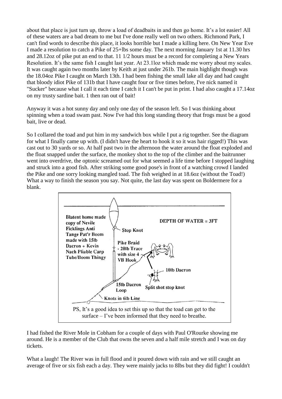about that place is just turn up, throw a load of deadbaits in and then go home. It's a lot easier! All of these waters are a bad dream to me but I've done really well on two others. Richmond Park, I can't find words to describe this place, it looks horrible but I made a killing here. On New Year Eve I made a resolution to catch a Pike of 25+lbs some day. The next morning January 1st at 11.30 hrs and 28.12oz of pike put an end to that. 11 1/2 hours must be a record for completing a New Years Resolution. It's the same fish I caught last year. At 23.1loz which made me worry about my scales. It was caught again two months later by Keith at just under 261b. The main highlight though was the 18.04oz Pike I caught on March 13th. I had been fishing the small lake all day and had caught that bloody idiot Pike of 131b that I have caught four or five times before, I've nick named it "Sucker" because what I call it each time I catch it I can't be put in print. I had also caught a 17.14oz on my trusty sardine bait. 1 then ran out of bait!

Anyway it was a hot sunny day and only one day of the season left. So I was thinking about spinning when a toad swam past. Now I've had this long standing theory that frogs must be a good bait, live or dead.

So I collared the toad and put him in my sandwich box while I put a rig together. See the diagram for what I finally came up with. (I didn't have the heart to hook it so it was hair rigged!) This was cast out to 30 yards or so. At half past two in the afternoon the water around the float exploded and the float snapped under the surface, the monkey shot to the top of the climber and the baitrunner went into overdrive, the optonic screamed out for what seemed a life time before I stopped laughing and struck into a good fish. After striking some good pose's in front of a watching crowd I landed the Pike and one sorry looking mangled toad. The fish weighed in at 18.6oz (without the Toad!) What a way to finish the season you say. Not quite, the last day was spent on Boldermere for a blank.



I had fished the River Mole in Cobham for a couple of days with Paul O'Rourke showing me around. He is a member of the Club that owns the seven and a half mile stretch and I was on day tickets.

What a laugh! The River was in full flood and it poured down with rain and we still caught an average of five or six fish each a day. They were mainly jacks to 8lbs but they did fight! I couldn't